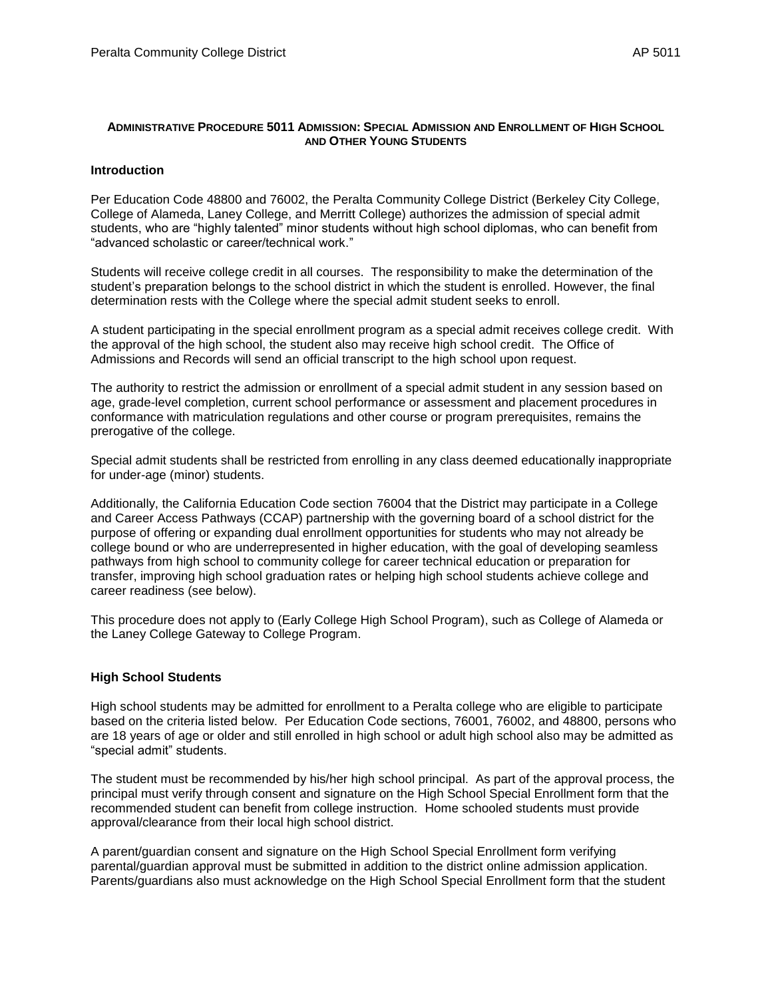#### **ADMINISTRATIVE PROCEDURE 5011 ADMISSION: SPECIAL ADMISSION AND ENROLLMENT OF HIGH SCHOOL AND OTHER YOUNG STUDENTS**

#### **Introduction**

Per Education Code 48800 and 76002, the Peralta Community College District (Berkeley City College, College of Alameda, Laney College, and Merritt College) authorizes the admission of special admit students, who are "highly talented" minor students without high school diplomas, who can benefit from "advanced scholastic or career/technical work."

Students will receive college credit in all courses. The responsibility to make the determination of the student's preparation belongs to the school district in which the student is enrolled. However, the final determination rests with the College where the special admit student seeks to enroll.

A student participating in the special enrollment program as a special admit receives college credit. With the approval of the high school, the student also may receive high school credit. The Office of Admissions and Records will send an official transcript to the high school upon request.

The authority to restrict the admission or enrollment of a special admit student in any session based on age, grade-level completion, current school performance or assessment and placement procedures in conformance with matriculation regulations and other course or program prerequisites, remains the prerogative of the college.

Special admit students shall be restricted from enrolling in any class deemed educationally inappropriate for under-age (minor) students.

Additionally, the California Education Code section 76004 that the District may participate in a College and Career Access Pathways (CCAP) partnership with the governing board of a school district for the purpose of offering or expanding dual enrollment opportunities for students who may not already be college bound or who are underrepresented in higher education, with the goal of developing seamless pathways from high school to community college for career technical education or preparation for transfer, improving high school graduation rates or helping high school students achieve college and career readiness (see below).

This procedure does not apply to (Early College High School Program), such as College of Alameda or the Laney College Gateway to College Program.

#### **High School Students**

High school students may be admitted for enrollment to a Peralta college who are eligible to participate based on the criteria listed below. Per Education Code sections, 76001, 76002, and 48800, persons who are 18 years of age or older and still enrolled in high school or adult high school also may be admitted as "special admit" students.

The student must be recommended by his/her high school principal. As part of the approval process, the principal must verify through consent and signature on the High School Special Enrollment form that the recommended student can benefit from college instruction. Home schooled students must provide approval/clearance from their local high school district.

A parent/guardian consent and signature on the High School Special Enrollment form verifying parental/guardian approval must be submitted in addition to the district online admission application. Parents/guardians also must acknowledge on the High School Special Enrollment form that the student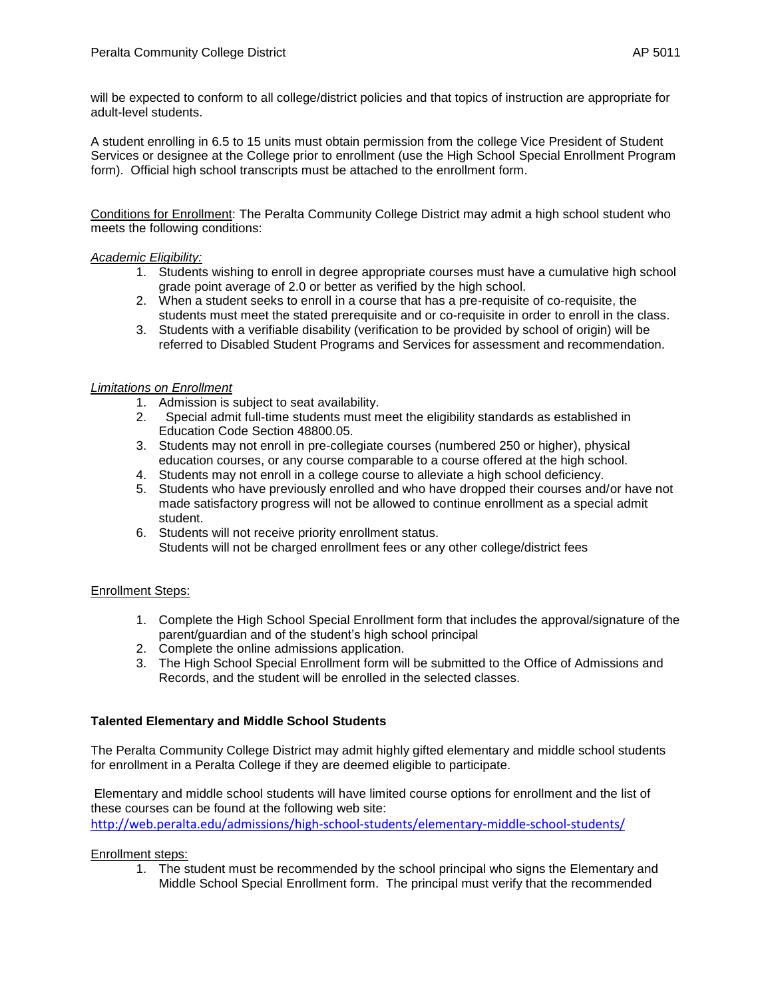will be expected to conform to all college/district policies and that topics of instruction are appropriate for adult-level students.

A student enrolling in 6.5 to 15 units must obtain permission from the college Vice President of Student Services or designee at the College prior to enrollment (use the High School Special Enrollment Program form). Official high school transcripts must be attached to the enrollment form.

Conditions for Enrollment: The Peralta Community College District may admit a high school student who meets the following conditions:

#### *Academic Eligibility:*

- 1. Students wishing to enroll in degree appropriate courses must have a cumulative high school grade point average of 2.0 or better as verified by the high school.
- 2. When a student seeks to enroll in a course that has a pre-requisite of co-requisite, the students must meet the stated prerequisite and or co-requisite in order to enroll in the class.
- 3. Students with a verifiable disability (verification to be provided by school of origin) will be referred to Disabled Student Programs and Services for assessment and recommendation.

## *Limitations on Enrollment*

- 1. Admission is subject to seat availability.
- 2. Special admit full-time students must meet the eligibility standards as established in Education Code Section 48800.05.
- 3. Students may not enroll in pre-collegiate courses (numbered 250 or higher), physical education courses, or any course comparable to a course offered at the high school.
- 4. Students may not enroll in a college course to alleviate a high school deficiency.
- 5. Students who have previously enrolled and who have dropped their courses and/or have not made satisfactory progress will not be allowed to continue enrollment as a special admit student.
- 6. Students will not receive priority enrollment status. Students will not be charged enrollment fees or any other college/district fees

## Enrollment Steps:

- 1. Complete the High School Special Enrollment form that includes the approval/signature of the parent/guardian and of the student's high school principal
- 2. Complete the online admissions application.
- 3. The High School Special Enrollment form will be submitted to the Office of Admissions and Records, and the student will be enrolled in the selected classes.

## **Talented Elementary and Middle School Students**

The Peralta Community College District may admit highly gifted elementary and middle school students for enrollment in a Peralta College if they are deemed eligible to participate.

Elementary and middle school students will have limited course options for enrollment and the list of these courses can be found at the following web site: [http://web.peralta.edu/admissions/high-school-students/elementary-middle-school-students/](https://mail.peralta.edu/owa/redir.aspx?REF=WCESt4wZdjIVGJ4P0aq3m-5K7DeSKPhe7nOGqEQiZxWMeTT1KIrTCAFodHRwOi8vd2ViLnBlcmFsdGEuZWR1L2FkbWlzc2lvbnMvaGlnaC1zY2hvb2wtc3R1ZGVudHMvZWxlbWVudGFyeS1taWRkbGUtc2Nob29sLXN0dWRlbnRzLw..)

#### Enrollment steps:

1. The student must be recommended by the school principal who signs the Elementary and Middle School Special Enrollment form. The principal must verify that the recommended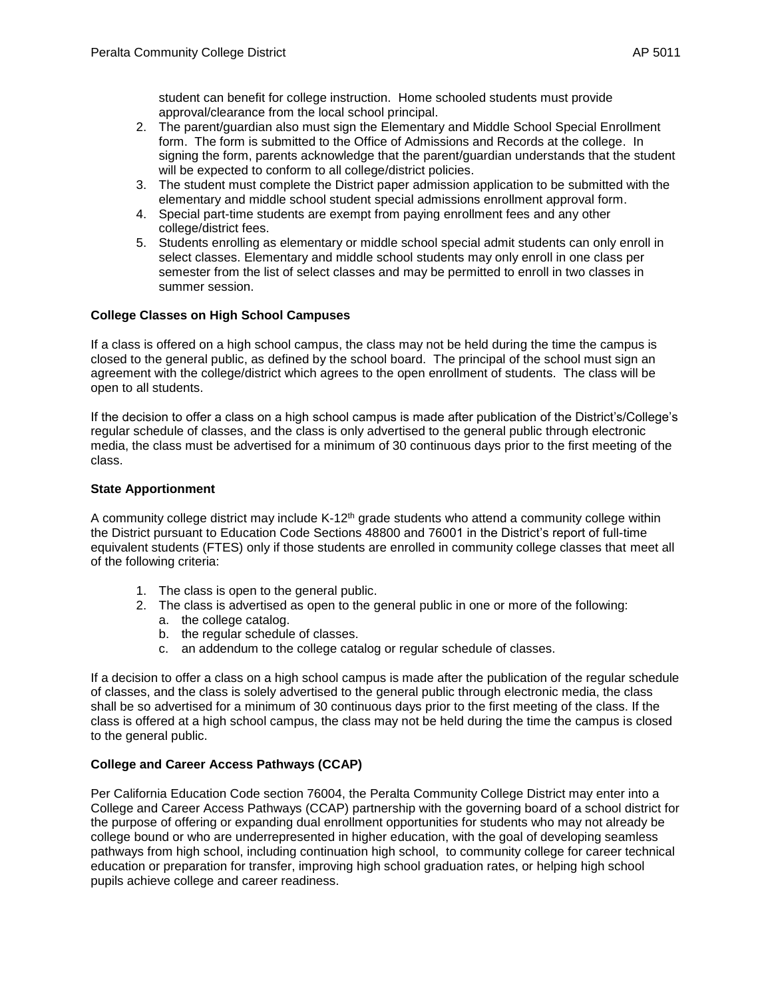student can benefit for college instruction. Home schooled students must provide approval/clearance from the local school principal.

- 2. The parent/guardian also must sign the Elementary and Middle School Special Enrollment form. The form is submitted to the Office of Admissions and Records at the college. In signing the form, parents acknowledge that the parent/guardian understands that the student will be expected to conform to all college/district policies.
- 3. The student must complete the District paper admission application to be submitted with the elementary and middle school student special admissions enrollment approval form.
- 4. Special part-time students are exempt from paying enrollment fees and any other college/district fees.
- 5. Students enrolling as elementary or middle school special admit students can only enroll in select classes. Elementary and middle school students may only enroll in one class per semester from the list of select classes and may be permitted to enroll in two classes in summer session.

# **College Classes on High School Campuses**

If a class is offered on a high school campus, the class may not be held during the time the campus is closed to the general public, as defined by the school board. The principal of the school must sign an agreement with the college/district which agrees to the open enrollment of students. The class will be open to all students.

If the decision to offer a class on a high school campus is made after publication of the District's/College's regular schedule of classes, and the class is only advertised to the general public through electronic media, the class must be advertised for a minimum of 30 continuous days prior to the first meeting of the class.

## **State Apportionment**

A community college district may include  $K-12<sup>th</sup>$  grade students who attend a community college within the District pursuant to Education Code Sections 48800 and 76001 in the District's report of full-time equivalent students (FTES) only if those students are enrolled in community college classes that meet all of the following criteria:

- 1. The class is open to the general public.
- 2. The class is advertised as open to the general public in one or more of the following: a. the college catalog.
	- b. the regular schedule of classes.
	- c. an addendum to the college catalog or regular schedule of classes.

If a decision to offer a class on a high school campus is made after the publication of the regular schedule of classes, and the class is solely advertised to the general public through electronic media, the class shall be so advertised for a minimum of 30 continuous days prior to the first meeting of the class. If the class is offered at a high school campus, the class may not be held during the time the campus is closed to the general public.

## **College and Career Access Pathways (CCAP)**

Per California Education Code section 76004, the Peralta Community College District may enter into a College and Career Access Pathways (CCAP) partnership with the governing board of a school district for the purpose of offering or expanding dual enrollment opportunities for students who may not already be college bound or who are underrepresented in higher education, with the goal of developing seamless pathways from high school, including continuation high school, to community college for career technical education or preparation for transfer, improving high school graduation rates, or helping high school pupils achieve college and career readiness.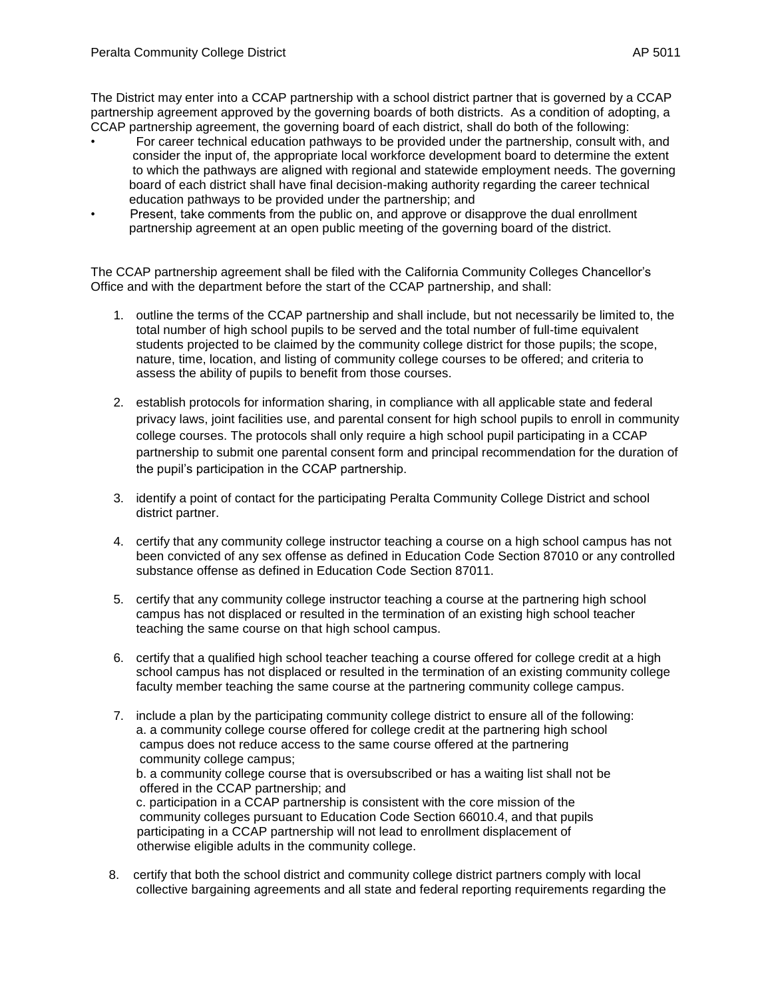The District may enter into a CCAP partnership with a school district partner that is governed by a CCAP partnership agreement approved by the governing boards of both districts. As a condition of adopting, a CCAP partnership agreement, the governing board of each district, shall do both of the following:

- For career technical education pathways to be provided under the partnership, consult with, and consider the input of, the appropriate local workforce development board to determine the extent to which the pathways are aligned with regional and statewide employment needs. The governing board of each district shall have final decision-making authority regarding the career technical education pathways to be provided under the partnership; and
- Present, take comments from the public on, and approve or disapprove the dual enrollment partnership agreement at an open public meeting of the governing board of the district.

The CCAP partnership agreement shall be filed with the California Community Colleges Chancellor's Office and with the department before the start of the CCAP partnership, and shall:

- 1. outline the terms of the CCAP partnership and shall include, but not necessarily be limited to, the total number of high school pupils to be served and the total number of full-time equivalent students projected to be claimed by the community college district for those pupils; the scope, nature, time, location, and listing of community college courses to be offered; and criteria to assess the ability of pupils to benefit from those courses.
- 2. establish protocols for information sharing, in compliance with all applicable state and federal privacy laws, joint facilities use, and parental consent for high school pupils to enroll in community college courses. The protocols shall only require a high school pupil participating in a CCAP partnership to submit one parental consent form and principal recommendation for the duration of the pupil's participation in the CCAP partnership.
- 3. identify a point of contact for the participating Peralta Community College District and school district partner.
- 4. certify that any community college instructor teaching a course on a high school campus has not been convicted of any sex offense as defined in Education Code Section 87010 or any controlled substance offense as defined in Education Code Section 87011.
- 5. certify that any community college instructor teaching a course at the partnering high school campus has not displaced or resulted in the termination of an existing high school teacher teaching the same course on that high school campus.
- 6. certify that a qualified high school teacher teaching a course offered for college credit at a high school campus has not displaced or resulted in the termination of an existing community college faculty member teaching the same course at the partnering community college campus.
- 7. include a plan by the participating community college district to ensure all of the following: a. a community college course offered for college credit at the partnering high school campus does not reduce access to the same course offered at the partnering community college campus;

b. a community college course that is oversubscribed or has a waiting list shall not be offered in the CCAP partnership; and

 c. participation in a CCAP partnership is consistent with the core mission of the community colleges pursuant to Education Code Section 66010.4, and that pupils participating in a CCAP partnership will not lead to enrollment displacement of otherwise eligible adults in the community college.

8. certify that both the school district and community college district partners comply with local collective bargaining agreements and all state and federal reporting requirements regarding the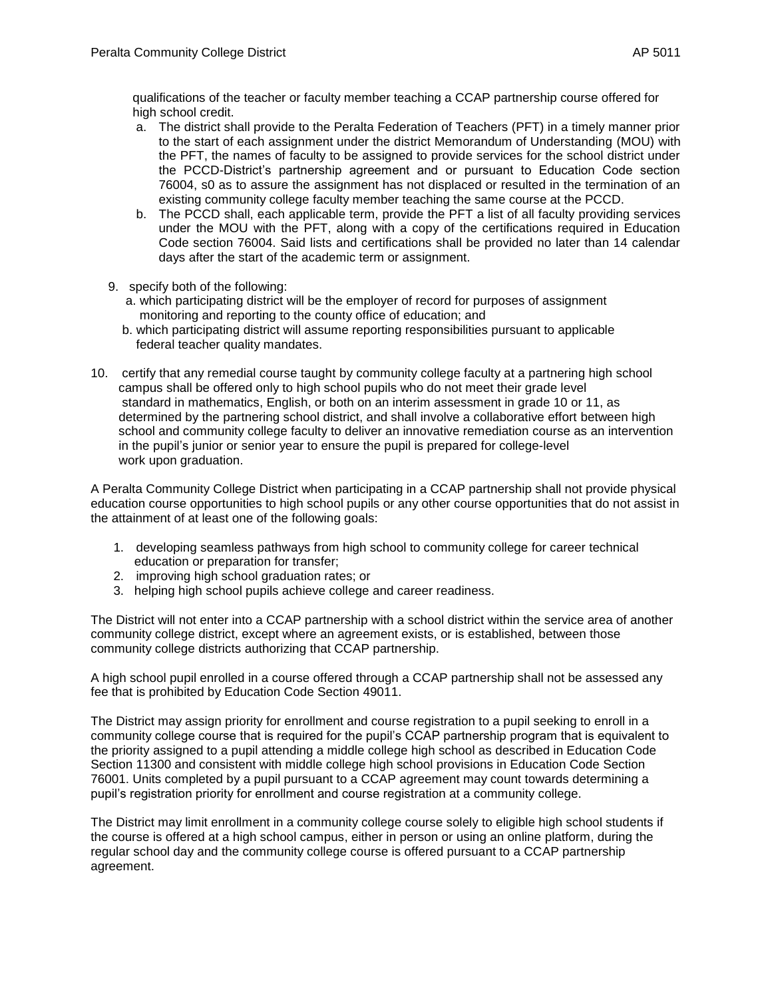qualifications of the teacher or faculty member teaching a CCAP partnership course offered for high school credit.

- a. The district shall provide to the Peralta Federation of Teachers (PFT) in a timely manner prior to the start of each assignment under the district Memorandum of Understanding (MOU) with the PFT, the names of faculty to be assigned to provide services for the school district under the PCCD-District's partnership agreement and or pursuant to Education Code section 76004, s0 as to assure the assignment has not displaced or resulted in the termination of an existing community college faculty member teaching the same course at the PCCD.
- b. The PCCD shall, each applicable term, provide the PFT a list of all faculty providing services under the MOU with the PFT, along with a copy of the certifications required in Education Code section 76004. Said lists and certifications shall be provided no later than 14 calendar days after the start of the academic term or assignment.
- 9. specify both of the following:
	- a. which participating district will be the employer of record for purposes of assignment monitoring and reporting to the county office of education; and
	- b. which participating district will assume reporting responsibilities pursuant to applicable federal teacher quality mandates.
- 10. certify that any remedial course taught by community college faculty at a partnering high school campus shall be offered only to high school pupils who do not meet their grade level standard in mathematics, English, or both on an interim assessment in grade 10 or 11, as determined by the partnering school district, and shall involve a collaborative effort between high school and community college faculty to deliver an innovative remediation course as an intervention in the pupil's junior or senior year to ensure the pupil is prepared for college-level work upon graduation.

A Peralta Community College District when participating in a CCAP partnership shall not provide physical education course opportunities to high school pupils or any other course opportunities that do not assist in the attainment of at least one of the following goals:

- 1. developing seamless pathways from high school to community college for career technical education or preparation for transfer;
- 2. improving high school graduation rates; or
- 3. helping high school pupils achieve college and career readiness.

The District will not enter into a CCAP partnership with a school district within the service area of another community college district, except where an agreement exists, or is established, between those community college districts authorizing that CCAP partnership.

A high school pupil enrolled in a course offered through a CCAP partnership shall not be assessed any fee that is prohibited by Education Code Section 49011.

The District may assign priority for enrollment and course registration to a pupil seeking to enroll in a community college course that is required for the pupil's CCAP partnership program that is equivalent to the priority assigned to a pupil attending a middle college high school as described in Education Code Section 11300 and consistent with middle college high school provisions in Education Code Section 76001. Units completed by a pupil pursuant to a CCAP agreement may count towards determining a pupil's registration priority for enrollment and course registration at a community college.

The District may limit enrollment in a community college course solely to eligible high school students if the course is offered at a high school campus, either in person or using an online platform, during the regular school day and the community college course is offered pursuant to a CCAP partnership agreement.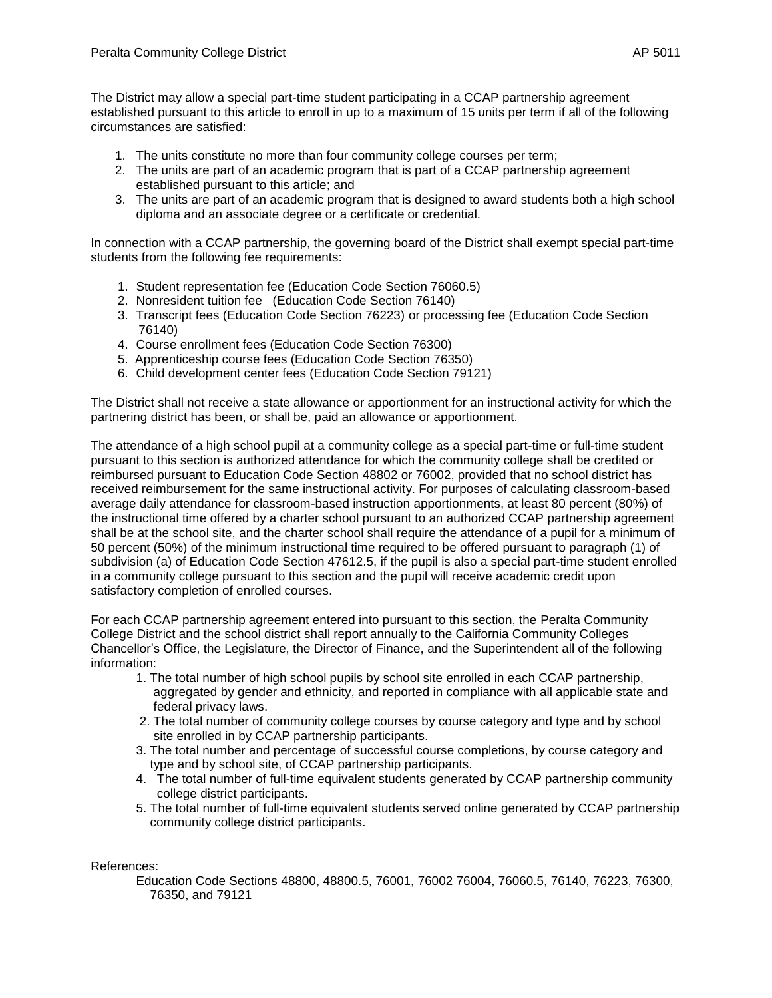The District may allow a special part-time student participating in a CCAP partnership agreement established pursuant to this article to enroll in up to a maximum of 15 units per term if all of the following circumstances are satisfied:

- 1. The units constitute no more than four community college courses per term;
- 2. The units are part of an academic program that is part of a CCAP partnership agreement established pursuant to this article; and
- 3. The units are part of an academic program that is designed to award students both a high school diploma and an associate degree or a certificate or credential.

In connection with a CCAP partnership, the governing board of the District shall exempt special part-time students from the following fee requirements:

- 1. Student representation fee (Education Code Section 76060.5)
- 2. Nonresident tuition fee (Education Code Section 76140)
- 3. Transcript fees (Education Code Section 76223) or processing fee (Education Code Section 76140)
- 4. Course enrollment fees (Education Code Section 76300)
- 5. Apprenticeship course fees (Education Code Section 76350)
- 6. Child development center fees (Education Code Section 79121)

The District shall not receive a state allowance or apportionment for an instructional activity for which the partnering district has been, or shall be, paid an allowance or apportionment.

The attendance of a high school pupil at a community college as a special part-time or full-time student pursuant to this section is authorized attendance for which the community college shall be credited or reimbursed pursuant to Education Code Section 48802 or 76002, provided that no school district has received reimbursement for the same instructional activity. For purposes of calculating classroom-based average daily attendance for classroom-based instruction apportionments, at least 80 percent (80%) of the instructional time offered by a charter school pursuant to an authorized CCAP partnership agreement shall be at the school site, and the charter school shall require the attendance of a pupil for a minimum of 50 percent (50%) of the minimum instructional time required to be offered pursuant to paragraph (1) of subdivision (a) of Education Code Section 47612.5, if the pupil is also a special part-time student enrolled in a community college pursuant to this section and the pupil will receive academic credit upon satisfactory completion of enrolled courses.

For each CCAP partnership agreement entered into pursuant to this section, the Peralta Community College District and the school district shall report annually to the California Community Colleges Chancellor's Office, the Legislature, the Director of Finance, and the Superintendent all of the following information:

- 1. The total number of high school pupils by school site enrolled in each CCAP partnership, aggregated by gender and ethnicity, and reported in compliance with all applicable state and federal privacy laws.
- 2. The total number of community college courses by course category and type and by school site enrolled in by CCAP partnership participants.
- 3. The total number and percentage of successful course completions, by course category and type and by school site, of CCAP partnership participants.
- 4. The total number of full-time equivalent students generated by CCAP partnership community college district participants.
- 5. The total number of full-time equivalent students served online generated by CCAP partnership community college district participants.

References:

Education Code Sections 48800, 48800.5, 76001, 76002 76004, 76060.5, 76140, 76223, 76300, 76350, and 79121